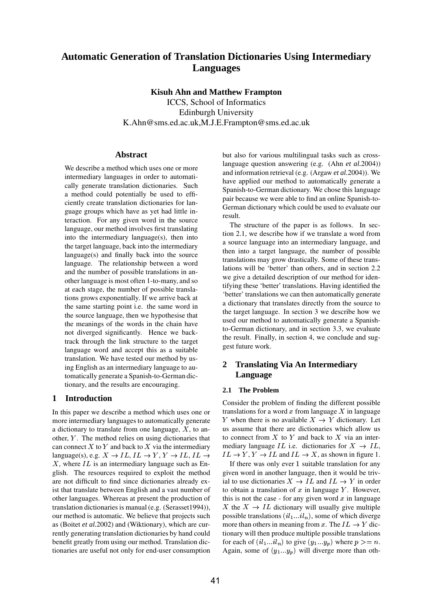# **Automatic Generation of Translation Dictionaries Using Intermediary Languages**

**Kisuh Ahn and Matthew Frampton**

ICCS, School of Informatics Edinburgh University K.Ahn@sms.ed.ac.uk,M.J.E.Frampton@sms.ed.ac.uk

## **Abstract**

We describe a method which uses one or more intermediary languages in order to automatically generate translation dictionaries. Such a method could potentially be used to efficiently create translation dictionaries for language groups which have as yet had little interaction. For any given word in the source language, our method involves first translating into the intermediary language(s), then into the target language, back into the intermediary language(s) and finally back into the source language. The relationship between a word and the number of possible translations in another language is most often 1-to-many, and so at each stage, the number of possible translations grows exponentially. If we arrive back at the same starting point i.e. the same word in the source language, then we hypothesise that the meanings of the words in the chain have not diverged significantly. Hence we backtrack through the link structure to the target language word and accept this as a suitable translation. We have tested our method by using English as an intermediary language to automatically generate a Spanish-to-German dictionary, and the results are encouraging.

## **1 Introduction**

In this paper we describe a method which uses one or more intermediary languages to automatically generate a dictionary to translate from one language,  $X$ , to an- us assu other,  $Y$ . The method relies on using dictionaries that can connect X to Y and back to X via the intermediary language(s), e.g.  $X \to IL$ ,  $IL \to Y$ ,  $Y \to IL$ ,  $IL \to IL$ .  $X$ , where  $IL$  is an intermediary language such as English. The resources required to exploit the method are not difficult to find since dictionaries already exist that translate between English and a vast number of other languages. Whereas at present the production of translation dictionaries is manual (e.g. (Serasset1994)), our method is automatic. We believe that projects such as (Boitet *et al.*2002) and (Wiktionary), which are currently generating translation dictionaries by hand could benefit greatly from using our method. Translation dictionaries are useful not only for end-user consumption

but also for various multilingual tasks such as crosslanguage question answering (e.g. (Ahn *et al.*2004)) and information retrieval (e.g. (Argaw *et al.*2004)). We have applied our method to automatically generate a Spanish-to-German dictionary. We chose this language pair because we were able to find an online Spanish-to-German dictionary which could be used to evaluate our result.

The structure of the paper is as follows. In section 2.1, we describe how if we translate a word from a source language into an intermediary language, and then into a target language, the number of possible translations may grow drastically. Some of these translations will be 'better' than others, and in section 2.2 we give a detailed description of our method for identifying these 'better' translations. Having identified the 'better' translations we can then automatically generate a dictionary that translates directly from the source to the target language. In section 3 we describe how we used our method to automatically generate a Spanishto-German dictionary, and in section 3.3, we evaluate the result. Finally, in section 4, we conclude and suggest future work.

## **2 Translating Via An Intermediary Language**

### **2.1 The Problem**

,  $IL \rightarrow IL \rightarrow Y, Y \rightarrow IL$  and  $IL \rightarrow X$ , as shown in figure 1. Consider the problem of finding the different possible translations for a word  $x$  from language  $X$  in language Y when there is no available  $X \to Y$  dictionary. Let us assume that there are dictionaries which allow us to connect from X to Y and back to X via an intermediary language IL i.e. dictionaries for  $X \to IL$ ,

If there was only ever  $1$  suitable translation for any given word in another language, then it would be trivial to use dictionaries  $X \to IL$  and  $IL \to Y$  in order to obtain a translation of  $x$  in language  $Y$ . However, this is not the case - for any given word  $x$  in language X the  $X \to IL$  dictionary will usually give multiple possible translations  $(i_l...i_l)_n$ , some of which diverge more than others in meaning from x. The  $IL \rightarrow Y$  dictionary will then produce multiple possible translations for each of  $( i l_1 ... i l_n )$  to give  $( y_1 ... y_p )$  where  $p \ge n$ . Again, some of  $(y_1...y_p)$  will diverge more than oth-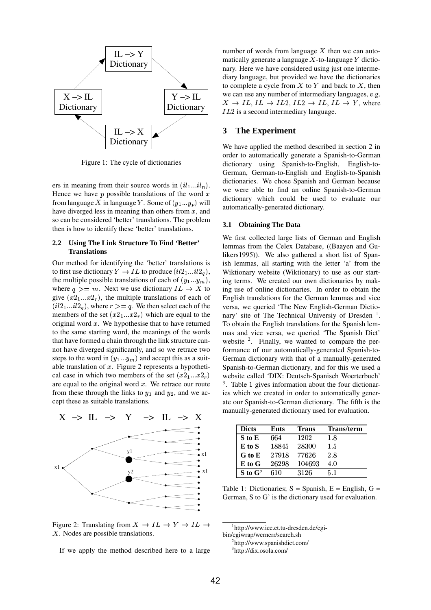

Figure 1: The cycle of dictionaries

ers in meaning from their source words in  $(i l_1 ... i l_n)$ . Hence we have  $p$  possible translations of the word  $x$ from language X in language Y. Some of  $(y_1...y_p)$  will have diverged less in meaning than others from  $x$ , and so can be considered 'better' translations. The problem then is how to identify these 'better' translations.

#### **2.2 Using The Link Structure To Find 'Better' Translations**

Our method for identifying the 'better' translations is to first use dictionary  $Y \to IL$  to produce  $(il2_1...il2_q),$  W the multiple possible translations of each of  $(y_1...y_m)$ , where  $q \geq m$ . Next we use dictionary  $IL \to X$  to ing use of give  $(x2_1...x2_r)$ , the multiple translations of each of  $(ii2<sub>1</sub>...il2<sub>q</sub>)$ , where  $r>=q$ . We then select each of the members of the set  $(x2_1...x2_r)$  which are equal to the original word  $x$ . We hypothesise that to have returned to the same starting word, the meanings of the words that have formed a chain through the link structure cannot have diverged significantly, and so we retrace two steps to the word in  $(y_1...y_m)$  and accept this as a suitable translation of  $x$ . Figure 2 represents a hypothetical case in which two members of the set  $(x2_1...x2_r)$  wet are equal to the original word  $x$ . We retrace our route from these through the links to  $y_1$  and  $y_2$ , and we accept these as suitable translations.



Figure 2: Translating from  $X \to IL \to Y \to IL \to$   $\frac{1}{1 \text{http://www.i.})}$  $X$ . Nodes are possible translations.

If we apply the method described here to a large

number of words from language  $X$  then we can automatically generate a language  $X$ -to-language  $Y$  dictionary. Here we have considered using just one intermediary language, but provided we have the dictionaries to complete a cycle from  $X$  to  $Y$  and back to  $X$ , then we can use any number of intermediary languages, e.g.  $X \to IL$ ,  $IL \to IL2$ ,  $IL2 \to IL$ ,  $IL \to Y$ , where  $IL2$  is a second intermediary language.

#### **3 The Experiment**

We have applied the method described in section 2 in order to automatically generate a Spanish-to-German dictionary using Spanish-to-English, English-to-German, German-to-English and English-to-Spanish dictionaries. We chose Spanish and German because we were able to find an online Spanish-to-German dictionary which could be used to evaluate our automatically-generated dictionary.

#### **3.1 Obtaining The Data**

 Wiktionary website (Wiktionary) to use as our start $r$ ) website called 'DIX: Deutsch-Spanisch Woerterbuch' We first collected large lists of German and English lemmas from the Celex Database, ((Baayen and Gulikers1995)). We also gathered a short list of Spanish lemmas, all starting with the letter 'a' from the ing terms. We created our own dictionaries by making use of online dictionaries. In order to obtain the English translations for the German lemmas and vice versa, we queried 'The New English-German Dictionary' site of The Technical Universiy of Dresden<sup>1</sup>. To obtain the English translations for the Spanish lemmas and vice versa, we queried 'The Spanish Dict' website  $2$ . Finally, we wanted to compare the performance of our automatically-generated Spanish-to-German dictionary with that of a manually-generated Spanish-to-German dictionary, and for this we used a  $3.$  Table 1 gives information about the four dictionaries which we created in order to automatically generate our Spanish-to-German dictionary. The fifth is the manually-generated dictionary used for evaluation.

| <b>Dicts</b> | Ents  | Trans  | <b>Trans/term</b> |
|--------------|-------|--------|-------------------|
| S to E       | 664   | 1202   | 1.8               |
| $E$ to $S$   | 18845 | 28300  | 1.5               |
| G to E       | 27918 | 77626  | 2.8               |
| E to G       | 26298 | 104693 | 4.0               |
| $S$ to $G'$  | 610   | 3126   | 5.1               |

Table 1: Dictionaries;  $S =$  Spanish,  $E =$  English,  $G =$ German, S to G' is the dictionary used for evaluation.

1 http://www.iee.et.tu-dresden.de/cgi-

bin/cgiwrap/wernerr/search.sh 2 http://www.spanishdict.com/

<sup>3</sup> http://dix.osola.com/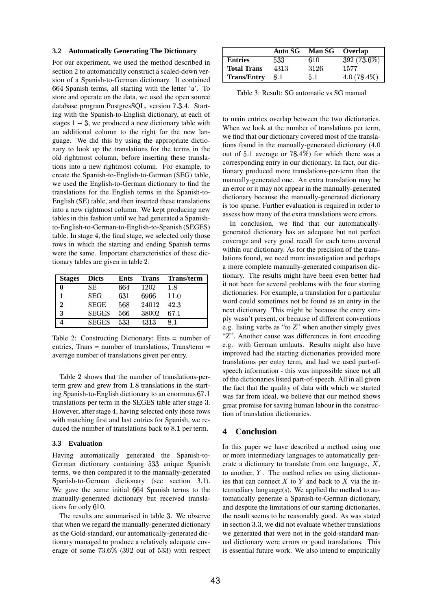#### **3.2 Automatically Generating The Dictionary**

For our experiment, we used the method described in section 2 to automatically construct a scaled-down version of a Spanish-to-German dictionary. It contained 664 Spanish terms, all starting with the letter 'a'. To store and operate on the data, we used the open source database program PostgresSQL, version 7.3.4. Starting with the Spanish-to-English dictionary, at each of stages  $1 - 3$ , we produced a new dictionary table with an additional column to the right for the new language. We did this by using the appropriate dictionary to look up the translations for the terms in the old rightmost column, before inserting these translations into a new rightmost column. For example, to create the Spanish-to-English-to-German (SEG) table, we used the English-to-German dictionary to find the translations for the English terms in the Spanish-to-English (SE) table, and then inserted these translations into a new rightmost column. We kept producing new tables in this fashion until we had generated a Spanishto-English-to-German-to-English-to-Spanish (SEGES) table. In stage 4, the final stage, we selected only those rows in which the starting and ending Spanish terms were the same. Important characteristics of these dictionary tables are given in table .

| <b>Stages</b> | <b>Dicts</b> | Ents | <b>Trans</b> | <b>Trans/term</b> |
|---------------|--------------|------|--------------|-------------------|
| 0             | SE.          | 664  | 1202         | 1.8               |
|               | <b>SEG</b>   | 631  | 6966         | 11.0              |
| $\mathbf{2}$  | <b>SEGE</b>  | 568  | 24012        | 42.3              |
| 3             | <b>SEGES</b> | 566  | 38002        | 67.1              |
|               | <b>SEGES</b> | 533  | 4313         | 8.1               |

Table 2: Constructing Dictionary; Ents = number of entries, Trans  $=$  number of translations, Trans/term  $=$ average number of translations given per entry.

Table 2 shows that the number of translations-perterm grew and grew from 1.8 translations in the starting Spanish-to-English dictionary to an enormous  $67.1_{\text{was}}$ translations per term in the SEGES table after stage 3. However, after stage 4, having selected only those rows with matching first and last entries for Spanish, we reduced the number of translations back to  $8.1$  per term.

#### **3.3 Evaluation**

Having automatically generated the Spanish-to-German dictionary containing 533 unique Spanish terms, we then compared it to the manually-generated Spanish-to-German dictionary (see section 3.1). We gave the same initial 664 Spanish terms to the manually-generated dictionary but received transla $tions$  for only  $610$ .

The results are summarised in table 3. We observe that when we regard the manually-generated dictionary as the Gold-standard, our automatically-generated dictionary managed to produce a relatively adequate coverage of some  $73.6\%$   $(392$  out of  $533)$  with respect

|                    | Auto SG | Man SG Overlap |               |
|--------------------|---------|----------------|---------------|
| <b>Entries</b>     | 533     | 610            | 392 (73.6%)   |
| <b>Total Trans</b> | 4313    | 3126           | 1577          |
| <b>Trans/Entry</b> | 8.1     | 5.1            | $4.0(78.4\%)$ |

Table 3: Result: SG automatic vs SG manual

to main entries overlap between the two dictionaries. When we look at the number of translations per term, we find that our dictionary covered most of the translations found in the manually-generated dictionary (4.0 out of  $5.1$  average or  $78.4\%$ ) for which there was a corresponding entry in our dictionary. In fact, our dictionary produced more translations-per-term than the manually-generated one. An extra translation may be an error or it may not appear in the manually-generated dictionary because the manually-generated dictionary is too sparse. Further evaluation is required in order to assess how many of the extra translations were errors.

 was far from ideal, we believe that our method shows In conclusion, we find that our automaticallygenerated dictionary has an adequate but not perfect coverage and very good recall for each term covered within our dictionary. As for the precision of the translations found, we need more investigation and perhaps a more complete manually-generated comparison dictionary. The results might have been even better had it not been for several problems with the four starting dictionaries. For example, a translation for a particular word could sometimes not be found as an entry in the next dictionary. This might be because the entry simply wasn't present, or because of different conventions e.g. listing verbs as "to Z" when another simply gives "Z". Another cause was differences in font encoding e.g. with German umlauts. Results might also have improved had the starting dictionaries provided more translations per entry term, and had we used part-ofspeech information - this was impossible since not all of the dictionaries listed part-of-speech. All in all given the fact that the quality of data with which we started great promise for saving human labour in the construction of translation dictionaries.

## **4 Conclusion**

In this paper we have described a method using one or more intermediary languages to automatically generate a dictionary to translate from one language,  $X$ , to another,  $Y$ . The method relies on using dictionaries that can connect X to Y and back to X via the intermediary language(s). We applied the method to automatically generate a Spanish-to-German dictionary, and desptite the limitations of our starting dictionaries, the result seems to be reasonably good. As was stated in section  $3.3$ , we did not evaluate whether translations we generated that were not in the gold-standard manual dictionary were errors or good translations. This is essential future work. We also intend to empirically